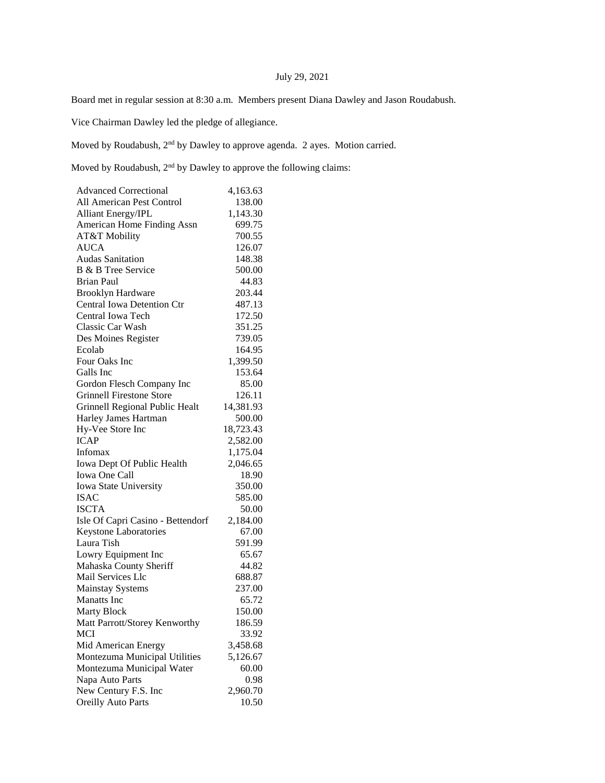## July 29, 2021

Board met in regular session at 8:30 a.m. Members present Diana Dawley and Jason Roudabush.

Vice Chairman Dawley led the pledge of allegiance.

Moved by Roudabush, 2nd by Dawley to approve agenda. 2 ayes. Motion carried.

Moved by Roudabush,  $2<sup>nd</sup>$  by Dawley to approve the following claims:

| <b>Advanced Correctional</b>      | 4,163.63  |
|-----------------------------------|-----------|
| All American Pest Control         | 138.00    |
| <b>Alliant Energy/IPL</b>         | 1,143.30  |
| American Home Finding Assn        | 699.75    |
| AT&T Mobility                     | 700.55    |
| <b>AUCA</b>                       | 126.07    |
| <b>Audas Sanitation</b>           | 148.38    |
| B & B Tree Service                | 500.00    |
| Brian Paul                        | 44.83     |
| <b>Brooklyn Hardware</b>          | 203.44    |
| <b>Central Iowa Detention Ctr</b> | 487.13    |
| Central Iowa Tech                 | 172.50    |
| Classic Car Wash                  | 351.25    |
| Des Moines Register               | 739.05    |
| Ecolab                            | 164.95    |
| Four Oaks Inc                     | 1,399.50  |
| Galls Inc                         | 153.64    |
| Gordon Flesch Company Inc         | 85.00     |
| <b>Grinnell Firestone Store</b>   | 126.11    |
| Grinnell Regional Public Healt    | 14,381.93 |
| Harley James Hartman              | 500.00    |
| Hy-Vee Store Inc                  | 18,723.43 |
| <b>ICAP</b>                       | 2,582.00  |
| Infomax                           | 1,175.04  |
| Iowa Dept Of Public Health        | 2,046.65  |
| Iowa One Call                     | 18.90     |
| Iowa State University             | 350.00    |
| <b>ISAC</b>                       | 585.00    |
| <b>ISCTA</b>                      | 50.00     |
| Isle Of Capri Casino - Bettendorf | 2,184.00  |
| <b>Keystone Laboratories</b>      | 67.00     |
| Laura Tish                        | 591.99    |
| Lowry Equipment Inc               | 65.67     |
| Mahaska County Sheriff            | 44.82     |
| Mail Services Llc                 | 688.87    |
| <b>Mainstay Systems</b>           | 237.00    |
| <b>Manatts</b> Inc.               | 65.72     |
| <b>Marty Block</b>                | 150.00    |
| Matt Parrott/Storey Kenworthy     | 186.59    |
| <b>MCI</b>                        | 33.92     |
| Mid American Energy               | 3,458.68  |
| Montezuma Municipal Utilities     | 5,126.67  |
| Montezuma Municipal Water         | 60.00     |
| Napa Auto Parts                   | 0.98      |
| New Century F.S. Inc              | 2,960.70  |
| <b>Oreilly Auto Parts</b>         | 10.50     |
|                                   |           |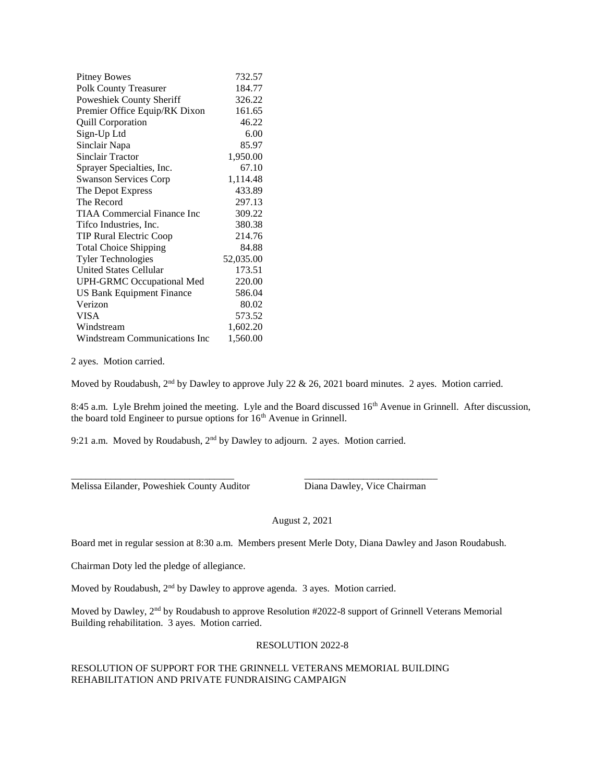| <b>Pitney Bowes</b>                | 732.57    |
|------------------------------------|-----------|
| <b>Polk County Treasurer</b>       | 184.77    |
| Poweshiek County Sheriff           | 326.22    |
| Premier Office Equip/RK Dixon      | 161.65    |
| <b>Quill Corporation</b>           | 46.22     |
| Sign-Up Ltd                        | 6.00      |
| Sinclair Napa                      | 85.97     |
| <b>Sinclair Tractor</b>            | 1,950.00  |
| Sprayer Specialties, Inc.          | 67.10     |
| <b>Swanson Services Corp</b>       | 1,114.48  |
| The Depot Express                  | 433.89    |
| The Record                         | 297.13    |
| <b>TIAA Commercial Finance Inc</b> | 309.22    |
| Tifco Industries, Inc.             | 380.38    |
| TIP Rural Electric Coop            | 214.76    |
| <b>Total Choice Shipping</b>       | 84.88     |
| <b>Tyler Technologies</b>          | 52,035.00 |
| <b>United States Cellular</b>      | 173.51    |
| <b>UPH-GRMC Occupational Med</b>   | 220.00    |
| US Bank Equipment Finance          | 586.04    |
| Verizon                            | 80.02     |
| <b>VISA</b>                        | 573.52    |
| Windstream                         | 1,602.20  |
| Windstream Communications Inc      | 1,560.00  |

2 ayes. Motion carried.

Moved by Roudabush,  $2<sup>nd</sup>$  by Dawley to approve July 22 & 26, 2021 board minutes. 2 ayes. Motion carried.

8:45 a.m. Lyle Brehm joined the meeting. Lyle and the Board discussed 16<sup>th</sup> Avenue in Grinnell. After discussion, the board told Engineer to pursue options for 16<sup>th</sup> Avenue in Grinnell.

9:21 a.m. Moved by Roudabush, 2<sup>nd</sup> by Dawley to adjourn. 2 ayes. Motion carried.

\_\_\_\_\_\_\_\_\_\_\_\_\_\_\_\_\_\_\_\_\_\_\_\_\_\_\_\_\_\_\_\_\_ \_\_\_\_\_\_\_\_\_\_\_\_\_\_\_\_\_\_\_\_\_\_\_\_\_\_\_

Melissa Eilander, Poweshiek County Auditor Diana Dawley, Vice Chairman

August 2, 2021

Board met in regular session at 8:30 a.m. Members present Merle Doty, Diana Dawley and Jason Roudabush.

Chairman Doty led the pledge of allegiance.

Moved by Roudabush, 2<sup>nd</sup> by Dawley to approve agenda. 3 ayes. Motion carried.

Moved by Dawley, 2<sup>nd</sup> by Roudabush to approve Resolution #2022-8 support of Grinnell Veterans Memorial Building rehabilitation. 3 ayes. Motion carried.

## RESOLUTION 2022-8

RESOLUTION OF SUPPORT FOR THE GRINNELL VETERANS MEMORIAL BUILDING REHABILITATION AND PRIVATE FUNDRAISING CAMPAIGN